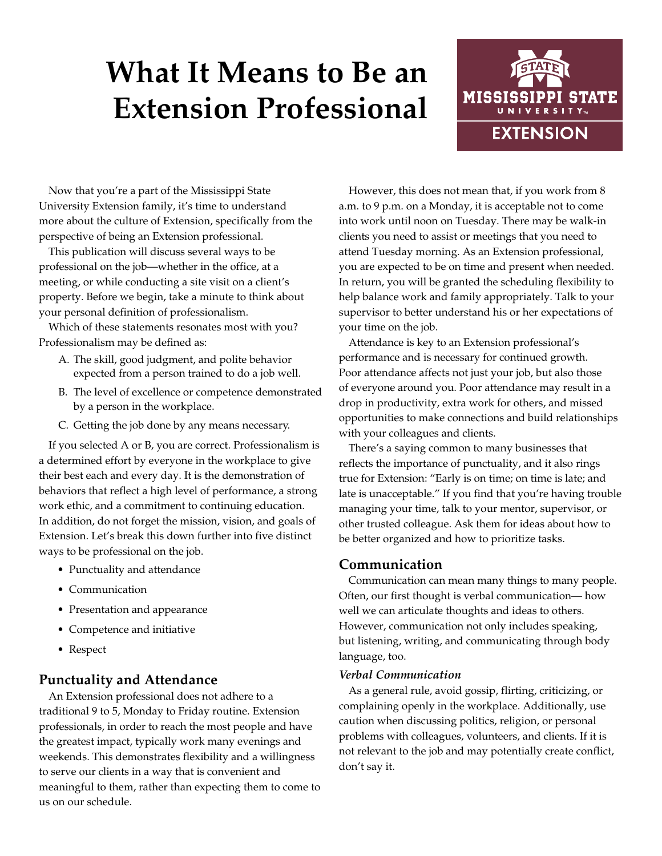# **What It Means to Be an Extension Professional**



Now that you're a part of the Mississippi State University Extension family, it's time to understand more about the culture of Extension, specifically from the perspective of being an Extension professional.

This publication will discuss several ways to be professional on the job—whether in the office, at a meeting, or while conducting a site visit on a client's property. Before we begin, take a minute to think about your personal definition of professionalism.

Which of these statements resonates most with you? Professionalism may be defined as:

- A. The skill, good judgment, and polite behavior expected from a person trained to do a job well.
- B. The level of excellence or competence demonstrated by a person in the workplace.
- C. Getting the job done by any means necessary.

If you selected A or B, you are correct. Professionalism is a determined effort by everyone in the workplace to give their best each and every day. It is the demonstration of behaviors that reflect a high level of performance, a strong work ethic, and a commitment to continuing education. In addition, do not forget the mission, vision, and goals of Extension. Let's break this down further into five distinct ways to be professional on the job.

- Punctuality and attendance
- Communication
- Presentation and appearance
- Competence and initiative
- Respect

### **Punctuality and Attendance**

An Extension professional does not adhere to a traditional 9 to 5, Monday to Friday routine. Extension professionals, in order to reach the most people and have the greatest impact, typically work many evenings and weekends. This demonstrates flexibility and a willingness to serve our clients in a way that is convenient and meaningful to them, rather than expecting them to come to us on our schedule.

However, this does not mean that, if you work from 8 a.m. to 9 p.m. on a Monday, it is acceptable not to come into work until noon on Tuesday. There may be walk-in clients you need to assist or meetings that you need to attend Tuesday morning. As an Extension professional, you are expected to be on time and present when needed. In return, you will be granted the scheduling flexibility to help balance work and family appropriately. Talk to your supervisor to better understand his or her expectations of your time on the job.

Attendance is key to an Extension professional's performance and is necessary for continued growth. Poor attendance affects not just your job, but also those of everyone around you. Poor attendance may result in a drop in productivity, extra work for others, and missed opportunities to make connections and build relationships with your colleagues and clients.

There's a saying common to many businesses that reflects the importance of punctuality, and it also rings true for Extension: "Early is on time; on time is late; and late is unacceptable." If you find that you're having trouble managing your time, talk to your mentor, supervisor, or other trusted colleague. Ask them for ideas about how to be better organized and how to prioritize tasks.

# **Communication**

Communication can mean many things to many people. Often, our first thought is verbal communication— how well we can articulate thoughts and ideas to others. However, communication not only includes speaking, but listening, writing, and communicating through body language, too.

#### *Verbal Communication*

As a general rule, avoid gossip, flirting, criticizing, or complaining openly in the workplace. Additionally, use caution when discussing politics, religion, or personal problems with colleagues, volunteers, and clients. If it is not relevant to the job and may potentially create conflict, don't say it.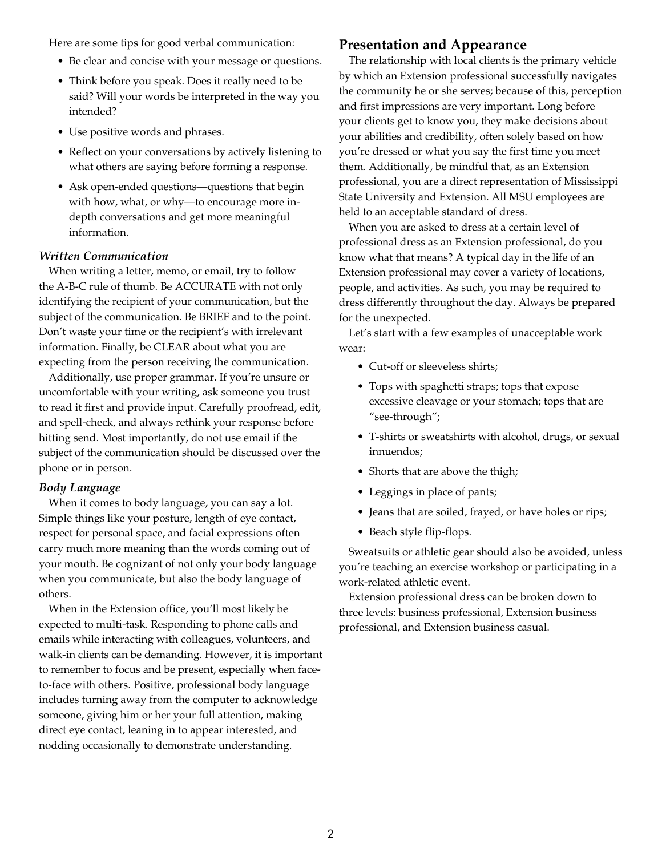Here are some tips for good verbal communication:

- Be clear and concise with your message or questions.
- Think before you speak. Does it really need to be said? Will your words be interpreted in the way you intended?
- Use positive words and phrases.
- Reflect on your conversations by actively listening to what others are saying before forming a response.
- Ask open-ended questions—questions that begin with how, what, or why—to encourage more indepth conversations and get more meaningful information.

#### *Written Communication*

When writing a letter, memo, or email, try to follow the A-B-C rule of thumb. Be ACCURATE with not only identifying the recipient of your communication, but the subject of the communication. Be BRIEF and to the point. Don't waste your time or the recipient's with irrelevant information. Finally, be CLEAR about what you are expecting from the person receiving the communication.

Additionally, use proper grammar. If you're unsure or uncomfortable with your writing, ask someone you trust to read it first and provide input. Carefully proofread, edit, and spell-check, and always rethink your response before hitting send. Most importantly, do not use email if the subject of the communication should be discussed over the phone or in person.

#### *Body Language*

When it comes to body language, you can say a lot. Simple things like your posture, length of eye contact, respect for personal space, and facial expressions often carry much more meaning than the words coming out of your mouth. Be cognizant of not only your body language when you communicate, but also the body language of others.

When in the Extension office, you'll most likely be expected to multi-task. Responding to phone calls and emails while interacting with colleagues, volunteers, and walk-in clients can be demanding. However, it is important to remember to focus and be present, especially when faceto-face with others. Positive, professional body language includes turning away from the computer to acknowledge someone, giving him or her your full attention, making direct eye contact, leaning in to appear interested, and nodding occasionally to demonstrate understanding.

#### **Presentation and Appearance**

The relationship with local clients is the primary vehicle by which an Extension professional successfully navigates the community he or she serves; because of this, perception and first impressions are very important. Long before your clients get to know you, they make decisions about your abilities and credibility, often solely based on how you're dressed or what you say the first time you meet them. Additionally, be mindful that, as an Extension professional, you are a direct representation of Mississippi State University and Extension. All MSU employees are held to an acceptable standard of dress.

When you are asked to dress at a certain level of professional dress as an Extension professional, do you know what that means? A typical day in the life of an Extension professional may cover a variety of locations, people, and activities. As such, you may be required to dress differently throughout the day. Always be prepared for the unexpected.

Let's start with a few examples of unacceptable work wear:

- Cut-off or sleeveless shirts;
- Tops with spaghetti straps; tops that expose excessive cleavage or your stomach; tops that are "see-through";
- T-shirts or sweatshirts with alcohol, drugs, or sexual innuendos;
- Shorts that are above the thigh;
- Leggings in place of pants;
- Jeans that are soiled, frayed, or have holes or rips;
- Beach style flip-flops.

Sweatsuits or athletic gear should also be avoided, unless you're teaching an exercise workshop or participating in a work-related athletic event.

Extension professional dress can be broken down to three levels: business professional, Extension business professional, and Extension business casual.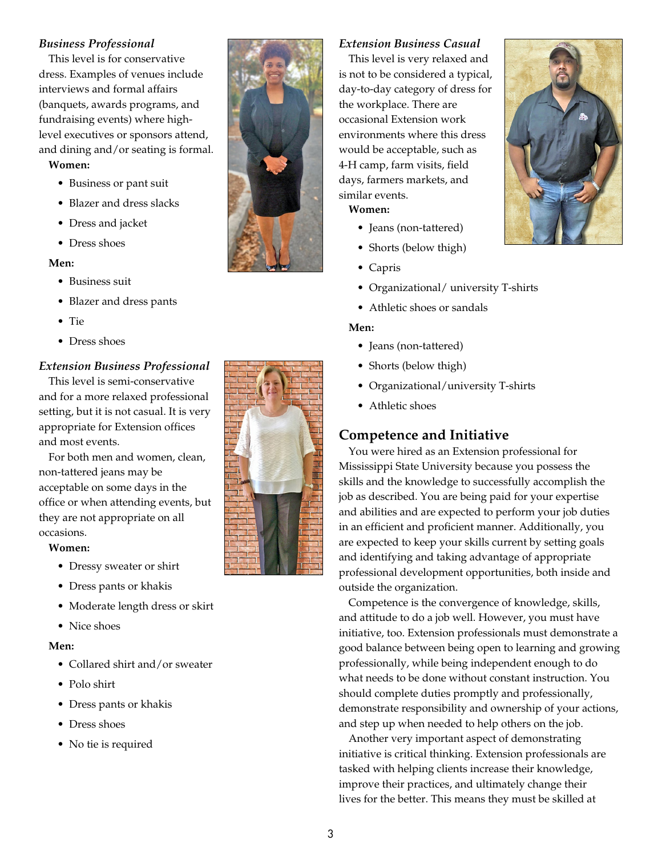#### *Business Professional*

This level is for conservative dress. Examples of venues include interviews and formal affairs (banquets, awards programs, and fundraising events) where highlevel executives or sponsors attend, and dining and/or seating is formal.

#### **Women:**

- Business or pant suit
- Blazer and dress slacks
- Dress and jacket
- Dress shoes

#### **Men:**

- Business suit
- Blazer and dress pants
- Tie
- Dress shoes

#### *Extension Business Professional*

This level is semi-conservative and for a more relaxed professional setting, but it is not casual. It is very appropriate for Extension offices and most events.

For both men and women, clean, non-tattered jeans may be acceptable on some days in the office or when attending events, but they are not appropriate on all occasions.

#### **Women:**

- Dressy sweater or shirt
- Dress pants or khakis
- Moderate length dress or skirt
- Nice shoes

#### **Men:**

- Collared shirt and/or sweater
- Polo shirt
- Dress pants or khakis
- Dress shoes
- No tie is required



#### *Extension Business Casual*

This level is very relaxed and is not to be considered a typical, day-to-day category of dress for the workplace. There are occasional Extension work environments where this dress would be acceptable, such as 4-H camp, farm visits, field days, farmers markets, and similar events.

# **Women:**

- Jeans (non-tattered)
- Shorts (below thigh)
- Capris
- Organizational/ university T-shirts
- Athletic shoes or sandals

#### **Men:**

- Jeans (non-tattered)
- Shorts (below thigh)
- Organizational/university T-shirts
- Athletic shoes

# **Competence and Initiative**

You were hired as an Extension professional for Mississippi State University because you possess the skills and the knowledge to successfully accomplish the job as described. You are being paid for your expertise and abilities and are expected to perform your job duties in an efficient and proficient manner. Additionally, you are expected to keep your skills current by setting goals and identifying and taking advantage of appropriate professional development opportunities, both inside and outside the organization.

Competence is the convergence of knowledge, skills, and attitude to do a job well. However, you must have initiative, too. Extension professionals must demonstrate a good balance between being open to learning and growing professionally, while being independent enough to do what needs to be done without constant instruction. You should complete duties promptly and professionally, demonstrate responsibility and ownership of your actions, and step up when needed to help others on the job.

Another very important aspect of demonstrating initiative is critical thinking. Extension professionals are tasked with helping clients increase their knowledge, improve their practices, and ultimately change their lives for the better. This means they must be skilled at